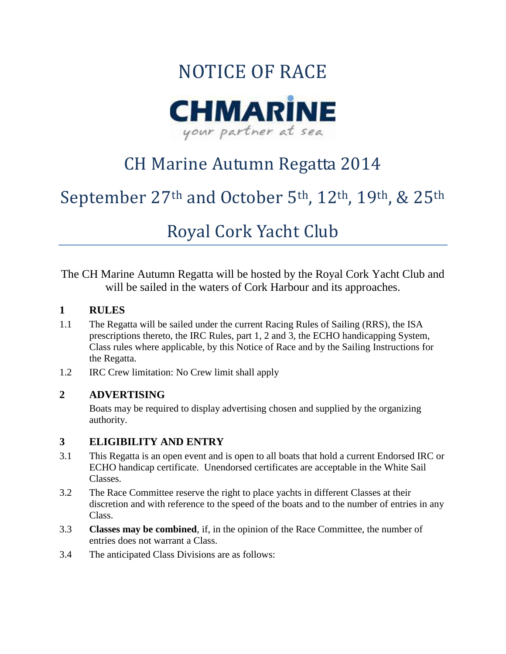

## CH Marine Autumn Regatta 2014

## September 27th and October 5th, 12th, 19th, & 25th

## Royal Cork Yacht Club

The CH Marine Autumn Regatta will be hosted by the Royal Cork Yacht Club and will be sailed in the waters of Cork Harbour and its approaches.

#### **1 RULES**

- 1.1 The Regatta will be sailed under the current Racing Rules of Sailing (RRS), the ISA prescriptions thereto, the IRC Rules, part 1, 2 and 3, the ECHO handicapping System, Class rules where applicable, by this Notice of Race and by the Sailing Instructions for the Regatta.
- 1.2 IRC Crew limitation: No Crew limit shall apply

#### **2 ADVERTISING**

Boats may be required to display advertising chosen and supplied by the organizing authority.

#### **3 ELIGIBILITY AND ENTRY**

- 3.1 This Regatta is an open event and is open to all boats that hold a current Endorsed IRC or ECHO handicap certificate. Unendorsed certificates are acceptable in the White Sail Classes.
- 3.2 The Race Committee reserve the right to place yachts in different Classes at their discretion and with reference to the speed of the boats and to the number of entries in any Class.
- 3.3 **Classes may be combined**, if, in the opinion of the Race Committee, the number of entries does not warrant a Class.
- 3.4 The anticipated Class Divisions are as follows: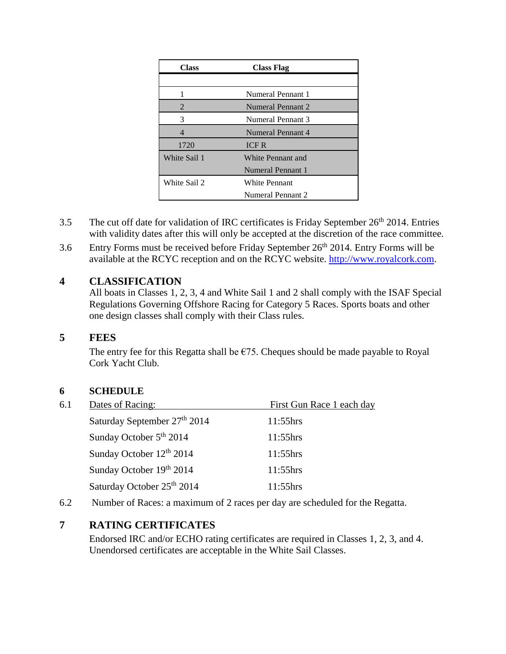| <b>Class</b> | <b>Class Flag</b> |  |  |  |  |
|--------------|-------------------|--|--|--|--|
|              |                   |  |  |  |  |
|              | Numeral Pennant 1 |  |  |  |  |
| 2            | Numeral Pennant 2 |  |  |  |  |
| 3            | Numeral Pennant 3 |  |  |  |  |
| 4            | Numeral Pennant 4 |  |  |  |  |
| 1720         | <b>ICFR</b>       |  |  |  |  |
| White Sail 1 | White Pennant and |  |  |  |  |
|              | Numeral Pennant 1 |  |  |  |  |
| White Sail 2 | White Pennant     |  |  |  |  |
|              | Numeral Pennant 2 |  |  |  |  |

- 3.5 The cut off date for validation of IRC certificates is Friday September  $26<sup>th</sup> 2014$ . Entries with validity dates after this will only be accepted at the discretion of the race committee.
- 3.6 Entry Forms must be received before Friday September  $26<sup>th</sup> 2014$ . Entry Forms will be available at the RCYC reception and on the RCYC website. [http://www.royalcork.com.](http://www.royalcork.com/)

#### **4 CLASSIFICATION**

All boats in Classes 1, 2, 3, 4 and White Sail 1 and 2 shall comply with the ISAF Special Regulations Governing Offshore Racing for Category 5 Races. Sports boats and other one design classes shall comply with their Class rules.

#### **5 FEES**

The entry fee for this Regatta shall be  $\epsilon$ 75. Cheques should be made payable to Royal Cork Yacht Club.

#### **6 SCHEDULE**

- 6.1 Dates of Racing: First Gun Race 1 each day Saturday September 27<sup>th</sup> 2014 11:55hrs Sunday October 5<sup>th</sup> 2014 11:55hrs Sunday October  $12^{th}$  2014 11:55hrs Sunday October 19th 2014 11:55hrs Saturday October 25<sup>th</sup> 2014 11:55hrs
- 6.2 Number of Races: a maximum of 2 races per day are scheduled for the Regatta.

#### **7 RATING CERTIFICATES**

Endorsed IRC and/or ECHO rating certificates are required in Classes 1, 2, 3, and 4. Unendorsed certificates are acceptable in the White Sail Classes.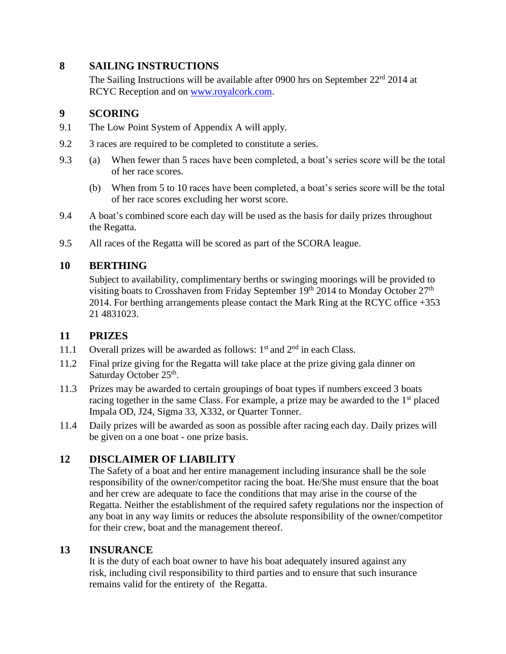#### **8 SAILING INSTRUCTIONS**

The Sailing Instructions will be available after 0900 hrs on September  $22<sup>rd</sup> 2014$  at RCYC Reception and on [www.royalcork.com.](file:///C:/Documents%20and%20Settings/miriam/Local%20Settings/Sailing%202012/www.royalcork.com)

#### **9 SCORING**

- 9.1 The Low Point System of Appendix A will apply.
- 9.2 3 races are required to be completed to constitute a series.
- 9.3 (a) When fewer than 5 races have been completed, a boat's series score will be the total of her race scores.
	- (b) When from 5 to 10 races have been completed, a boat's series score will be the total of her race scores excluding her worst score.
- 9.4 A boat's combined score each day will be used as the basis for daily prizes throughout the Regatta.
- 9.5 All races of the Regatta will be scored as part of the SCORA league.

#### **10 BERTHING**

Subject to availability, complimentary berths or swinging moorings will be provided to visiting boats to Crosshaven from Friday September  $19<sup>th</sup>$  2014 to Monday October  $27<sup>th</sup>$ 2014. For berthing arrangements please contact the Mark Ring at the RCYC office +353 21 4831023.

#### **11 PRIZES**

- 11.1 Overall prizes will be awarded as follows:  $1<sup>st</sup>$  and  $2<sup>nd</sup>$  in each Class.
- 11.2 Final prize giving for the Regatta will take place at the prize giving gala dinner on Saturday October 25<sup>th</sup>.
- 11.3 Prizes may be awarded to certain groupings of boat types if numbers exceed 3 boats racing together in the same Class. For example, a prize may be awarded to the  $1<sup>st</sup>$  placed Impala OD, J24, Sigma 33, X332, or Quarter Tonner.
- 11.4 Daily prizes will be awarded as soon as possible after racing each day. Daily prizes will be given on a one boat - one prize basis.

#### **12 DISCLAIMER OF LIABILITY**

The Safety of a boat and her entire management including insurance shall be the sole responsibility of the owner/competitor racing the boat. He/She must ensure that the boat and her crew are adequate to face the conditions that may arise in the course of the Regatta. Neither the establishment of the required safety regulations nor the inspection of any boat in any way limits or reduces the absolute responsibility of the owner/competitor for their crew, boat and the management thereof.

#### **13 INSURANCE**

It is the duty of each boat owner to have his boat adequately insured against any risk, including civil responsibility to third parties and to ensure that such insurance remains valid for the entirety of the Regatta.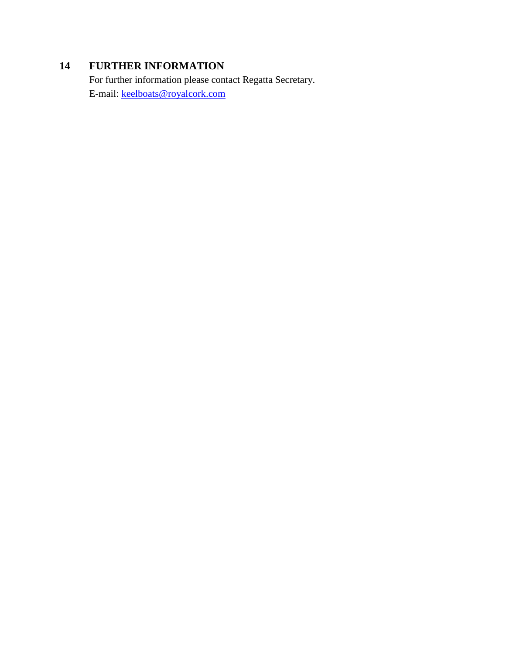### **14 FURTHER INFORMATION**

For further information please contact Regatta Secretary. E-mail: [keelboats@royalcork.com](mailto:keelboats@royalcork.com)